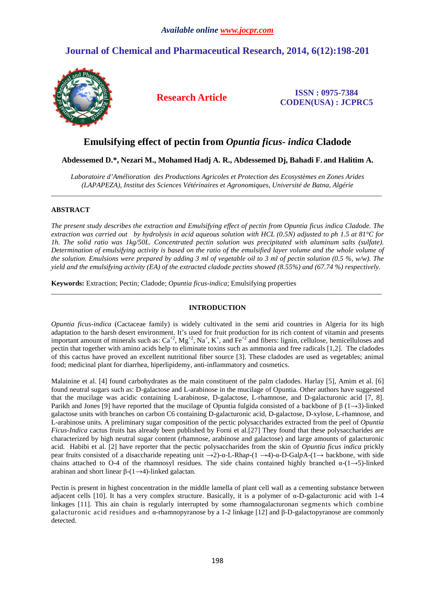# **Journal of Chemical and Pharmaceutical Research, 2014, 6(12):198-201**



**Research Article ISSN : 0975-7384 CODEN(USA) : JCPRC5**

## **Emulsifying effect of pectin from** *Opuntia ficus- indica* **Cladode**

## **Abdessemed D.\*, Nezari M., Mohamed Hadj A. R., Abdessemed Dj, Bahadi F. and Halitim A.**

*Laboratoire d'Amélioration des Productions Agricoles et Protection des Ecosystèmes en Zones Arides (LAPAPEZA), Institut des Sciences Vétérinaires et Agronomiques, Université de Batna, Algérie*  \_\_\_\_\_\_\_\_\_\_\_\_\_\_\_\_\_\_\_\_\_\_\_\_\_\_\_\_\_\_\_\_\_\_\_\_\_\_\_\_\_\_\_\_\_\_\_\_\_\_\_\_\_\_\_\_\_\_\_\_\_\_\_\_\_\_\_\_\_\_\_\_\_\_\_\_\_\_\_\_\_\_\_\_\_\_\_\_\_\_\_\_\_

## **ABSTRACT**

*The present study describes the extraction and Emulsifying effect of pectin from Opuntia ficus indica Cladode. The extraction was carried out by hydrolysis in acid aqueous solution with HCL (0.5N) adjusted to ph 1.5 at 81°C for 1h. The solid ratio was 1kg/50L. Concentrated pectin solution was precipitated with aluminum salts (sulfate). Determination of emulsifying activity is based on the ratio of the emulsified layer volume and the whole volume of the solution. Emulsions were prepared by adding 3 ml of vegetable oil to 3 ml of pectin solution (0.5 %, w/w). The yield and the emulsifying activity (EA) of the extracted cladode pectins showed (8.55%) and (67.74 %) respectively.* 

**Keywords:** Extraction; Pectin; Cladode; *Opuntia ficus-indica*; Emulsifying properties

## **INTRODUCTION**

\_\_\_\_\_\_\_\_\_\_\_\_\_\_\_\_\_\_\_\_\_\_\_\_\_\_\_\_\_\_\_\_\_\_\_\_\_\_\_\_\_\_\_\_\_\_\_\_\_\_\_\_\_\_\_\_\_\_\_\_\_\_\_\_\_\_\_\_\_\_\_\_\_\_\_\_\_\_\_\_\_\_\_\_\_\_\_\_\_\_\_\_\_

*Opuntia ficus-indica* (Cactaceae family) is widely cultivated in the semi arid countries in Algeria for its high adaptation to the harsh desert environment. It's used for fruit production for its rich content of vitamin and presents important amount of minerals such as:  $Ca^{+2}$ ,  $Mg^{+2}$ ,  $Na^+$ ,  $K^+$ , and  $Fe^{+2}$  and fibers: lignin, cellulose, hemicelluloses and pectin that together with amino acids help to eliminate toxins such as ammonia and free radicals [1,2]. The cladodes of this cactus have proved an excellent nutritional fiber source [3]. These cladodes are used as vegetables; animal food; medicinal plant for diarrhea, hiperlipidemy, anti-inflammatory and cosmetics.

Malainine et al. [4] found carbohydrates as the main constituent of the palm cladodes. Harlay [5], Amim et al. [6] found neutral sugars such as: D-galactose and L-arabinose in the mucilage of Opuntia. Other authors have suggested that the mucilage was acidic containing L-arabinose, D-galactose, L-rhamnose, and D-galacturonic acid [7, 8]. Parikh and Jones [9] have reported that the mucilage of Opuntia fulgida consisted of a backbone of  $\beta$  (1→3)-linked galactose units with branches on carbon C6 containing D-galacturonic acid, D-galactose, D-xylose, L-rhamnose, and L-arabinose units. A preliminary sugar composition of the pectic polysaccharides extracted from the peel of *Opuntia Ficus-Indica* cactus fruits has already been published by Forni et al.[27] They found that these polysaccharides are characterized by high neutral sugar content (rhamnose, arabinose and galactose) and large amounts of galacturonic acid. Habibi et al. [2] have reporter that the pectic polysaccharides from the skin of *Opuntia ficus indica* prickly pear fruits consisted of a disaccharide repeating unit →2)-α-L-Rha*p*-(1 →4)-α-D-Gal*p*A-(1→ backbone, with side chains attached to O-4 of the rhamnosyl residues. The side chains contained highly branched  $\alpha$ -(1→5)-linked arabinan and short linear β-(1→4)-linked galactan.

Pectin is present in highest concentration in the middle lamella of plant cell wall as a cementing substance between adjacent cells [10]. It has a very complex structure. Basically, it is a polymer of α-D-galacturonic acid with 1-4 linkages [11]. This ain chain is regularly interrupted by some rhamnogalacturonan segments which combine galacturonic acid residues and α-rhamnopyranose by a 1-2 linkage [12] and β-D-galactopyranose are commonly detected.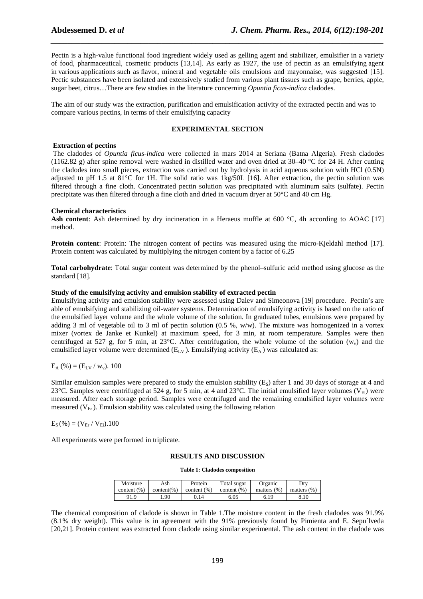Pectin is a high-value functional food ingredient widely used as gelling agent and stabilizer, emulsifier in a variety of food, pharmaceutical, cosmetic products [13,14]. As early as 1927, the use of pectin as an emulsifying agent in various applications such as flavor, mineral and vegetable oils emulsions and mayonnaise, was suggested [15]. Pectic substances have been isolated and extensively studied from various plant tissues such as grape, berries, apple, sugar beet, citrus…There are few studies in the literature concerning *Opuntia ficus-indica* cladodes.

*\_\_\_\_\_\_\_\_\_\_\_\_\_\_\_\_\_\_\_\_\_\_\_\_\_\_\_\_\_\_\_\_\_\_\_\_\_\_\_\_\_\_\_\_\_\_\_\_\_\_\_\_\_\_\_\_\_\_\_\_\_\_\_\_\_\_\_\_\_\_\_\_\_\_\_\_\_\_*

The aim of our study was the extraction, purification and emulsification activity of the extracted pectin and was to compare various pectins, in terms of their emulsifying capacity

## **EXPERIMENTAL SECTION**

#### **Extraction of pectins**

 The cladodes of *Opuntia ficus-indica* were collected in mars 2014 at Seriana (Batna Algeria). Fresh cladodes (1162.82 g) after spine removal were washed in distilled water and oven dried at 30–40 °C for 24 H. After cutting the cladodes into small pieces, extraction was carried out by hydrolysis in acid aqueous solution with HCl (0.5N) adjusted to pH 1.5 at 81°C for 1H. The solid ratio was 1kg/50L [16**]**. After extraction, the pectin solution was filtered through a fine cloth. Concentrated pectin solution was precipitated with aluminum salts (sulfate). Pectin precipitate was then filtered through a fine cloth and dried in vacuum dryer at 50°C and 40 cm Hg.

#### **Chemical characteristics**

Ash content: Ash determined by dry incineration in a Heraeus muffle at 600 °C, 4h according to AOAC [17] method.

**Protein content**: Protein: The nitrogen content of pectins was measured using the micro-Kjeldahl method [17]. Protein content was calculated by multiplying the nitrogen content by a factor of 6.25

**Total carbohydrate**: Total sugar content was determined by the phenol–sulfuric acid method using glucose as the standard [18].

#### **Study of the emulsifying activity and emulsion stability of extracted pectin**

Emulsifying activity and emulsion stability were assessed using Dalev and Simeonova [19] procedure. Pectin's are able of emulsifying and stabilizing oil-water systems. Determination of emulsifying activity is based on the ratio of the emulsified layer volume and the whole volume of the solution. In graduated tubes, emulsions were prepared by adding 3 ml of vegetable oil to 3 ml of pectin solution  $(0.5 \, % \cdot w/w)$ . The mixture was homogenized in a vortex mixer (vortex de Janke et Kunkel) at maximum speed, for 3 min, at room temperature. Samples were then centrifuged at 527 g, for 5 min, at 23°C. After centrifugation, the whole volume of the solution  $(w_y)$  and the emulsified layer volume were determined  $(E_{\text{LV}})$ . Emulsifying activity  $(E_{\text{A}})$  was calculated as:

$$
E_A ( \% ) = ( E_{LV} / w_v ). 100
$$

Similar emulsion samples were prepared to study the emulsion stability  $(E<sub>S</sub>)$  after 1 and 30 days of storage at 4 and 23°C. Samples were centrifuged at 524 g, for 5 min, at 4 and 23°C. The initial emulsified layer volumes ( $V_{Ei}$ ) were measured. After each storage period. Samples were centrifuged and the remaining emulsified layer volumes were measured  $(V_{Er})$ . Emulsion stability was calculated using the following relation

 $E_S$  (%) = ( $V_{Er}$  /  $V_{Ei}$ ).100

All experiments were performed in triplicate.

#### **RESULTS AND DISCUSSION**

#### **Table 1: Cladodes composition**

| Moisture        | Ash            | Protein        | Total sugar     | Organic        | Dry            |
|-----------------|----------------|----------------|-----------------|----------------|----------------|
| content $(\% )$ | $content(\% )$ | content $(\%)$ | content $(\% )$ | matters $(% )$ | matters $(% )$ |
| 91.9            | .90            | 9.14           | 6.05            | 6.19           | 8.10           |

The chemical composition of cladode is shown in Table 1.The moisture content in the fresh cladodes was 91.9% (8.1% dry weight). This value is in agreement with the 91% previously found by Pimienta and E. Sepu´lveda [20,21]. Protein content was extracted from cladode using similar experimental. The ash content in the cladode was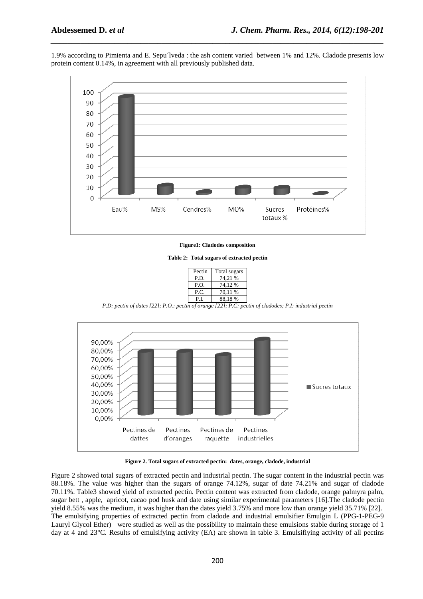1.9% according to Pimienta and E. Sepu´lveda : the ash content varied between 1% and 12%. Cladode presents low protein content 0.14%, in agreement with all previously published data.

*\_\_\_\_\_\_\_\_\_\_\_\_\_\_\_\_\_\_\_\_\_\_\_\_\_\_\_\_\_\_\_\_\_\_\_\_\_\_\_\_\_\_\_\_\_\_\_\_\_\_\_\_\_\_\_\_\_\_\_\_\_\_\_\_\_\_\_\_\_\_\_\_\_\_\_\_\_\_*



**Figure1: Cladodes composition** 



| Pectin | Total sugars |
|--------|--------------|
| P.D.   | 74.21 %      |
| P.O.   | 74,12 %      |
| P.C.   | 70,11 %      |
| РI     | 88,18%       |
| $\sim$ |              |

*P.D: pectin of dates [22]; P.O.: pectin of orange [22]; P.C: pectin of cladodes; P.I: industrial pectin* 



**Figure 2. Total sugars of extracted pectin: dates, orange, cladode, industrial** 

Figure 2 showed total sugars of extracted pectin and industrial pectin. The sugar content in the industrial pectin was 88.18%. The value was higher than the sugars of orange 74.12%, sugar of date 74.21% and sugar of cladode 70.11%. Table3 showed yield of extracted pectin*.* Pectin content was extracted from cladode, orange palmyra palm, sugar bett , apple, apricot, cacao pod husk and date using similar experimental parameters [16].The cladode pectin yield 8.55% was the medium, it was higher than the dates yield 3.75% and more low than orange yield 35.71% [22]. The emulsifying properties of extracted pectin from cladode and industrial emulsifier Emulgin L (PPG-1-PEG-9 Lauryl Glycol Ether) were studied as well as the possibility to maintain these emulsions stable during storage of 1 day at 4 and 23°C. Results of emulsifying activity (EA) are shown in table 3. Emulsifiying activity of all pectins